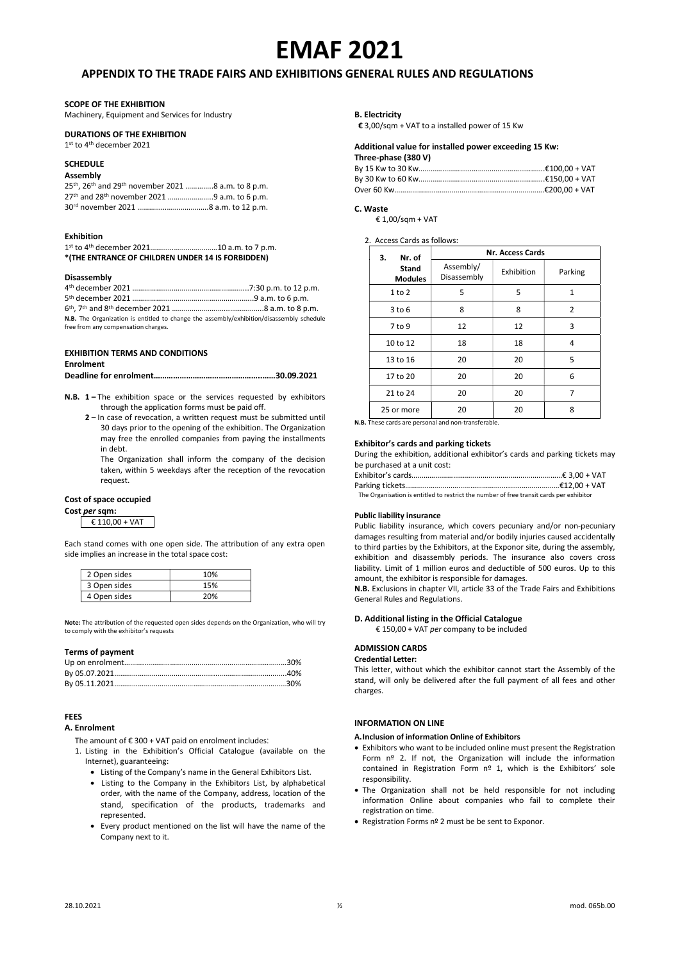# EMAF 2021

# APPENDIX TO THE TRADE FAIRS AND EXHIBITIONS GENERAL RULES AND REGULATIONS

# SCOPE OF THE EXHIBITION

Machinery, Equipment and Services for Industry

# DURATIONS OF THE EXHIBITION

1 st to 4th december 2021

# **SCHEDULE**

# Assembly

| 25th, 26th and 29th november 2021 8 a.m. to 8 p.m.                   |  |
|----------------------------------------------------------------------|--|
| 27 <sup>th</sup> and 28 <sup>th</sup> november 2021 9 a.m. to 6 p.m. |  |
|                                                                      |  |

# Exhibition

1 st to 4th december 2021………………….…………10 a.m. to 7 p.m. \*(THE ENTRANCE OF CHILDREN UNDER 14 IS FORBIDDEN)

# Disassembly

| N.B. The Organization is entitled to change the assembly/exhibition/disassembly schedule |  |  |
|------------------------------------------------------------------------------------------|--|--|
| free from any compensation charges.                                                      |  |  |

#### EXHIBITION TERMS AND CONDITIONS

# Enrolment

|--|--|

- N.B. 1 The exhibition space or the services requested by exhibitors through the application forms must be paid off.
	- 2 In case of revocation, a written request must be submitted until 30 days prior to the opening of the exhibition. The Organization may free the enrolled companies from paying the installments in debt.

The Organization shall inform the company of the decision taken, within 5 weekdays after the reception of the revocation request.

# Cost of space occupied

Cost per sqm:

€ 110,00 + VAT

Each stand comes with one open side. The attribution of any extra open side implies an increase in the total space cost:

| 2 Open sides | 10% |
|--------------|-----|
| 3 Open sides | 15% |
| 4 Open sides | 20% |

Note: The attribution of the requested open sides depends on the Organization, who will try to comply with the exhibitor's requests

# Terms of payment

# FEES

## A. Enrolment

The amount of  $\epsilon$  300 + VAT paid on enrolment includes:

- 1. Listing in the Exhibition's Official Catalogue (available on the Internet), guaranteeing:
	- Listing of the Company's name in the General Exhibitors List.
	- Listing to the Company in the Exhibitors List, by alphabetical order, with the name of the Company, address, location of the stand, specification of the products, trademarks and represented.
	- Every product mentioned on the list will have the name of the Company next to it.

### B. Electricity

€ 3,00/sqm + VAT to a installed power of 15 Kw

# Additional value for installed power exceeding 15 Kw:

| Three-phase (380 V) |  |
|---------------------|--|
|---------------------|--|

# C. Waste

€ 1,00/sqm + VAT

2. Access Cards as follows:

| Nr. of<br>з.            | <b>Nr. Access Cards</b>  |            |              |
|-------------------------|--------------------------|------------|--------------|
| Stand<br><b>Modules</b> | Assembly/<br>Disassembly | Exhibition | Parking      |
| 1 to 2                  | 5                        | 5          | $\mathbf{1}$ |
| 3 to 6                  | 8                        | 8          | 2            |
| 7 to 9                  | 12                       | 12         | 3            |
| 10 to 12                | 18                       | 18         | 4            |
| 13 to 16                | 20                       | 20         | 5            |
| 17 to 20                | 20                       | 20         | 6            |
| 21 to 24                | 20                       | 20         | 7            |
| 25 or more              | 20                       | 20         | 8            |

N.B. These cards are personal and non-transferable.

# Exhibitor's cards and parking tickets

During the exhibition, additional exhibitor's cards and parking tickets may be purchased at a unit cost:

Exhibitor's cards…………………………………….……..……….……………€ 3,00 + VAT Parking tickets……

The Organisation is entitled to restrict the number of free transit cards per exhibitor

# Public liability insurance

Public liability insurance, which covers pecuniary and/or non-pecuniary damages resulting from material and/or bodily injuries caused accidentally to third parties by the Exhibitors, at the Exponor site, during the assembly, exhibition and disassembly periods. The insurance also covers cross liability. Limit of 1 million euros and deductible of 500 euros. Up to this amount, the exhibitor is responsible for damages.

N.B. Exclusions in chapter VII, article 33 of the Trade Fairs and Exhibitions General Rules and Regulations.

# D. Additional listing in the Official Catalogue

€ 150,00 + VAT per company to be included

# ADMISSION CARDS

# Credential Letter:

This letter, without which the exhibitor cannot start the Assembly of the stand, will only be delivered after the full payment of all fees and other charges.

# INFORMATION ON LINE

A.Inclusion of information Online of Exhibitors

- Exhibitors who want to be included online must present the Registration Form nº 2. If not, the Organization will include the information contained in Registration Form nº 1, which is the Exhibitors' sole responsibility.
- The Organization shall not be held responsible for not including information Online about companies who fail to complete their registration on time.
- Registration Forms nº 2 must be be sent to Exponor.